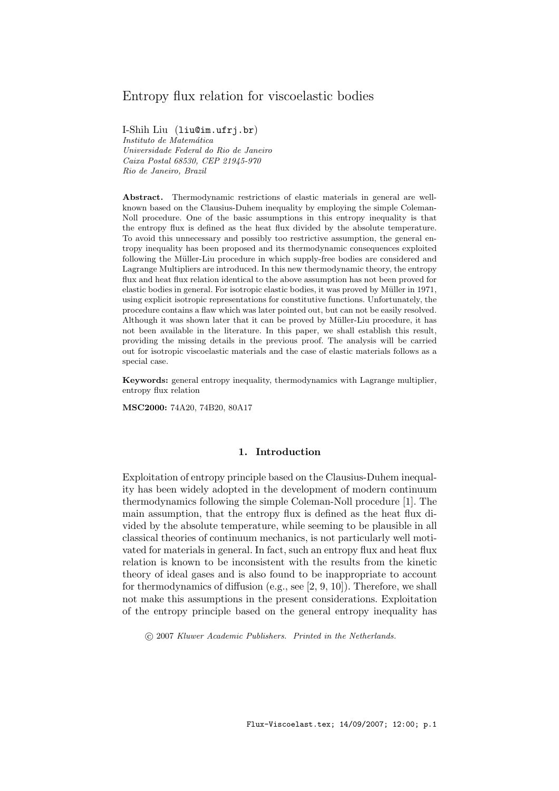# Entropy flux relation for viscoelastic bodies

I-Shih Liu (liu@im.ufrj.br) Instituto de Matemática Universidade Federal do Rio de Janeiro Caixa Postal 68530, CEP 21945-970 Rio de Janeiro, Brazil

Abstract. Thermodynamic restrictions of elastic materials in general are wellknown based on the Clausius-Duhem inequality by employing the simple Coleman-Noll procedure. One of the basic assumptions in this entropy inequality is that the entropy flux is defined as the heat flux divided by the absolute temperature. To avoid this unnecessary and possibly too restrictive assumption, the general entropy inequality has been proposed and its thermodynamic consequences exploited following the Müller-Liu procedure in which supply-free bodies are considered and Lagrange Multipliers are introduced. In this new thermodynamic theory, the entropy flux and heat flux relation identical to the above assumption has not been proved for elastic bodies in general. For isotropic elastic bodies, it was proved by Müller in 1971, using explicit isotropic representations for constitutive functions. Unfortunately, the procedure contains a flaw which was later pointed out, but can not be easily resolved. Although it was shown later that it can be proved by M¨uller-Liu procedure, it has not been available in the literature. In this paper, we shall establish this result, providing the missing details in the previous proof. The analysis will be carried out for isotropic viscoelastic materials and the case of elastic materials follows as a special case.

Keywords: general entropy inequality, thermodynamics with Lagrange multiplier, entropy flux relation

MSC2000: 74A20, 74B20, 80A17

# 1. Introduction

Exploitation of entropy principle based on the Clausius-Duhem inequality has been widely adopted in the development of modern continuum thermodynamics following the simple Coleman-Noll procedure [1]. The main assumption, that the entropy flux is defined as the heat flux divided by the absolute temperature, while seeming to be plausible in all classical theories of continuum mechanics, is not particularly well motivated for materials in general. In fact, such an entropy flux and heat flux relation is known to be inconsistent with the results from the kinetic theory of ideal gases and is also found to be inappropriate to account for thermodynamics of diffusion (e.g., see [2, 9, 10]). Therefore, we shall not make this assumptions in the present considerations. Exploitation of the entropy principle based on the general entropy inequality has

°c 2007 Kluwer Academic Publishers. Printed in the Netherlands.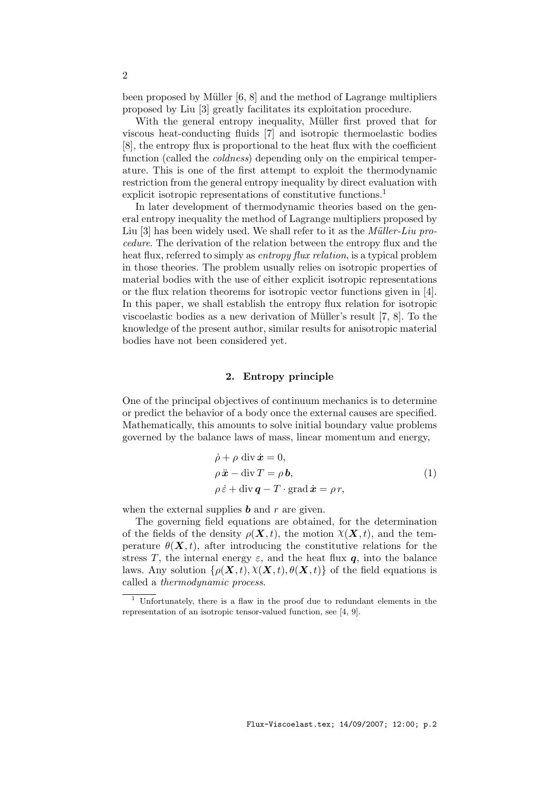been proposed by Müller  $[6, 8]$  and the method of Lagrange multipliers proposed by Liu [3] greatly facilitates its exploitation procedure.

With the general entropy inequality, Müller first proved that for viscous heat-conducting fluids [7] and isotropic thermoelastic bodies [8], the entropy flux is proportional to the heat flux with the coefficient function (called the *coldness*) depending only on the empirical temperature. This is one of the first attempt to exploit the thermodynamic restriction from the general entropy inequality by direct evaluation with explicit isotropic representations of constitutive functions.<sup>1</sup>

In later development of thermodynamic theories based on the general entropy inequality the method of Lagrange multipliers proposed by Liu  $[3]$  has been widely used. We shall refer to it as the *Müller-Liu pro*cedure. The derivation of the relation between the entropy flux and the heat flux, referred to simply as *entropy flux relation*, is a typical problem in those theories. The problem usually relies on isotropic properties of material bodies with the use of either explicit isotropic representations or the flux relation theorems for isotropic vector functions given in [4]. In this paper, we shall establish the entropy flux relation for isotropic viscoelastic bodies as a new derivation of Müller's result  $[7, 8]$ . To the knowledge of the present author, similar results for anisotropic material bodies have not been considered yet.

# 2. Entropy principle

One of the principal objectives of continuum mechanics is to determine or predict the behavior of a body once the external causes are specified. Mathematically, this amounts to solve initial boundary value problems governed by the balance laws of mass, linear momentum and energy,

$$
\dot{\rho} + \rho \operatorname{div} \dot{x} = 0,\n\rho \ddot{x} - \operatorname{div} T = \rho \mathbf{b},\n\rho \dot{\varepsilon} + \operatorname{div} \mathbf{q} - T \cdot \operatorname{grad} \dot{x} = \rho r,
$$
\n(1)

when the external supplies  $\boldsymbol{b}$  and  $\boldsymbol{r}$  are given.

The governing field equations are obtained, for the determination of the fields of the density  $\rho(\mathbf{X}, t)$ , the motion  $\chi(\mathbf{X}, t)$ , and the temperature  $\theta(\mathbf{X}, t)$ , after introducing the constitutive relations for the stress T, the internal energy  $\varepsilon$ , and the heat flux  $q$ , into the balance laws. Any solution  $\{\rho(\mathbf{X},t), \chi(\mathbf{X},t), \theta(\mathbf{X},t)\}\$ of the field equations is called a thermodynamic process.

<sup>1</sup> Unfortunately, there is a flaw in the proof due to redundant elements in the representation of an isotropic tensor-valued function, see [4, 9].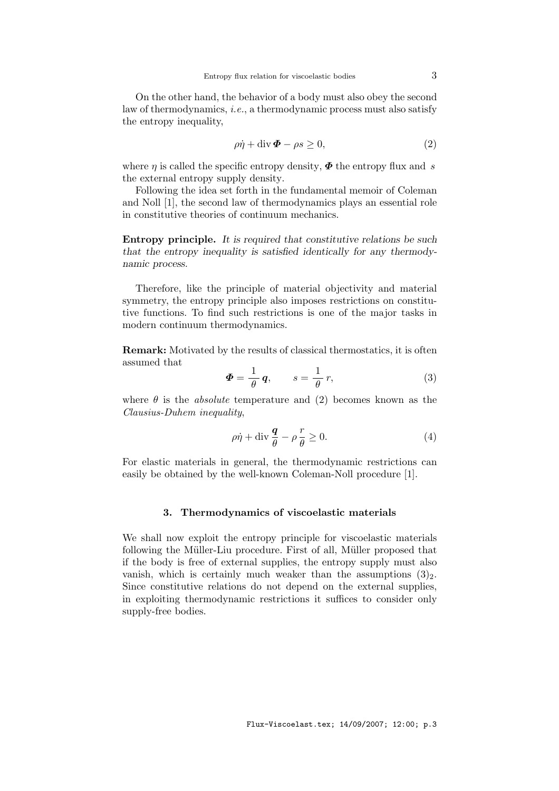On the other hand, the behavior of a body must also obey the second law of thermodynamics, i.e., a thermodynamic process must also satisfy the entropy inequality,

$$
\rho \dot{\eta} + \operatorname{div} \Phi - \rho s \ge 0,\tag{2}
$$

where  $\eta$  is called the specific entropy density,  $\Phi$  the entropy flux and s the external entropy supply density.

Following the idea set forth in the fundamental memoir of Coleman and Noll [1], the second law of thermodynamics plays an essential role in constitutive theories of continuum mechanics.

Entropy principle. It is required that constitutive relations be such that the entropy inequality is satisfied identically for any thermodynamic process.

Therefore, like the principle of material objectivity and material symmetry, the entropy principle also imposes restrictions on constitutive functions. To find such restrictions is one of the major tasks in modern continuum thermodynamics.

Remark: Motivated by the results of classical thermostatics, it is often assumed that

$$
\Phi = \frac{1}{\theta} \, \mathbf{q}, \qquad s = \frac{1}{\theta} \, r,\tag{3}
$$

where  $\theta$  is the *absolute* temperature and (2) becomes known as the Clausius-Duhem inequality,

$$
\rho \dot{\eta} + \text{div} \frac{\mathbf{q}}{\theta} - \rho \frac{r}{\theta} \ge 0. \tag{4}
$$

For elastic materials in general, the thermodynamic restrictions can easily be obtained by the well-known Coleman-Noll procedure [1].

#### 3. Thermodynamics of viscoelastic materials

We shall now exploit the entropy principle for viscoelastic materials following the Müller-Liu procedure. First of all, Müller proposed that if the body is free of external supplies, the entropy supply must also vanish, which is certainly much weaker than the assumptions  $(3)_2$ . Since constitutive relations do not depend on the external supplies, in exploiting thermodynamic restrictions it suffices to consider only supply-free bodies.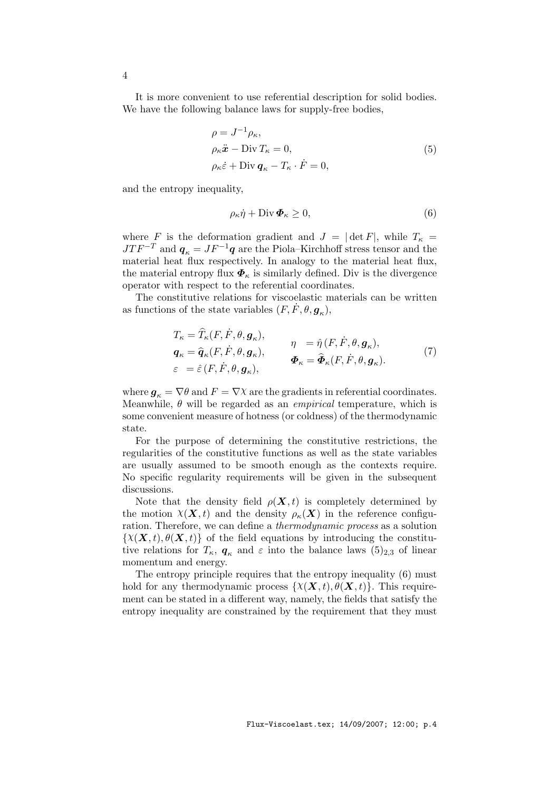It is more convenient to use referential description for solid bodies. We have the following balance laws for supply-free bodies,

$$
\rho = J^{-1} \rho_{\kappa},
$$
  
\n
$$
\rho_{\kappa} \ddot{x} - \text{Div} T_{\kappa} = 0,
$$
  
\n
$$
\rho_{\kappa} \dot{\varepsilon} + \text{Div} \, \mathbf{q}_{\kappa} - T_{\kappa} \cdot \dot{F} = 0,
$$
\n(5)

and the entropy inequality,

$$
\rho_{\kappa}\dot{\eta} + \text{Div}\,\boldsymbol{\Phi}_{\kappa} \ge 0,\tag{6}
$$

where F is the deformation gradient and  $J = |\det F|$ , while  $T_{\kappa} =$  $JTF^{-T}$  and  $q_{\kappa} = JF^{-1}q$  are the Piola–Kirchhoff stress tensor and the material heat flux respectively. In analogy to the material heat flux, the material entropy flux  $\boldsymbol{\Phi}_{\kappa}$  is similarly defined. Div is the divergence operator with respect to the referential coordinates.

The constitutive relations for viscoelastic materials can be written as functions of the state variables  $(F, \dot{F}, \theta, \mathbf{g}_{\kappa})$ ,

$$
T_{\kappa} = \hat{T}_{\kappa}(F, \dot{F}, \theta, \mathbf{g}_{\kappa}),
$$
  
\n
$$
\mathbf{q}_{\kappa} = \hat{\mathbf{q}}_{\kappa}(F, \dot{F}, \theta, \mathbf{g}_{\kappa}),
$$
  
\n
$$
\tilde{\mathbf{q}}_{\kappa} = \hat{\mathbf{q}}_{\kappa}(F, \dot{F}, \theta, \mathbf{g}_{\kappa}),
$$
  
\n
$$
\tilde{\mathbf{q}}_{\kappa} = \hat{\mathbf{\Phi}}_{\kappa}(F, \dot{F}, \theta, \mathbf{g}_{\kappa}).
$$
\n(7)  
\n
$$
\tilde{\mathbf{q}}_{\kappa} = \hat{\mathbf{\Phi}}_{\kappa}(F, \dot{F}, \theta, \mathbf{g}_{\kappa}).
$$

where  $g_{\kappa} = \nabla \theta$  and  $F = \nabla \chi$  are the gradients in referential coordinates. Meanwhile,  $\theta$  will be regarded as an *empirical* temperature, which is some convenient measure of hotness (or coldness) of the thermodynamic state.

For the purpose of determining the constitutive restrictions, the regularities of the constitutive functions as well as the state variables are usually assumed to be smooth enough as the contexts require. No specific regularity requirements will be given in the subsequent discussions.

Note that the density field  $\rho(X, t)$  is completely determined by the motion  $\chi(X, t)$  and the density  $\rho_{\kappa}(X)$  in the reference configuration. Therefore, we can define a thermodynamic process as a solution  $\{\chi(\mathbf{X},t), \theta(\mathbf{X},t)\}\$  of the field equations by introducing the constitutive relations for  $T_{\kappa}$ ,  $q_{\kappa}$  and  $\varepsilon$  into the balance laws  $(5)_{2,3}$  of linear momentum and energy.

The entropy principle requires that the entropy inequality (6) must hold for any thermodynamic process  $\{\mathcal{X}(\mathbf{X},t), \theta(\mathbf{X},t)\}\)$ . This requirement can be stated in a different way, namely, the fields that satisfy the entropy inequality are constrained by the requirement that they must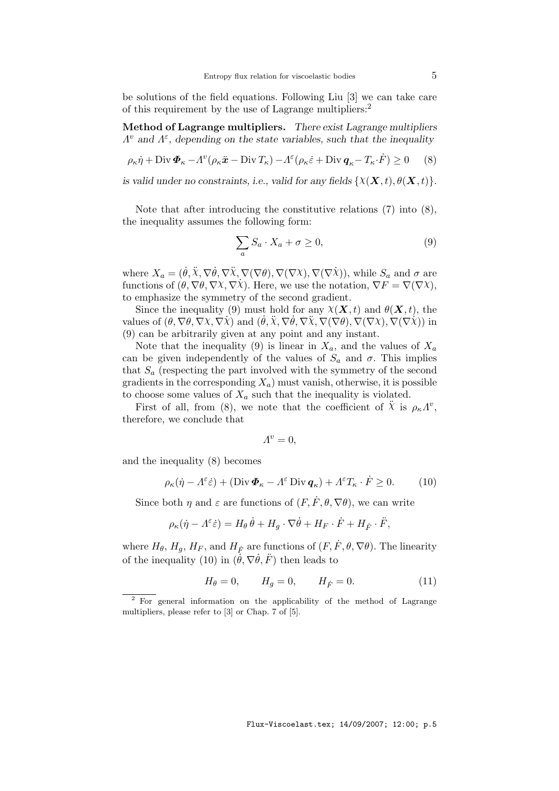be solutions of the field equations. Following Liu [3] we can take care of this requirement by the use of Lagrange multipliers:<sup>2</sup>

Method of Lagrange multipliers. There exist Lagrange multipliers  $\Lambda^v$  and  $\Lambda^{\varepsilon}$ , depending on the state variables, such that the inequality

$$
\rho_{\kappa}\dot{\eta} + \text{Div}\,\boldsymbol{\Phi}_{\kappa} - \Lambda^v(\rho_{\kappa}\ddot{\boldsymbol{x}} - \text{Div}\,T_{\kappa}) - \Lambda^{\varepsilon}(\rho_{\kappa}\dot{\varepsilon} + \text{Div}\,\boldsymbol{q}_{\kappa} - T_{\kappa}\cdot\dot{F}) \ge 0 \qquad (8)
$$

is valid under no constraints, i.e., valid for any fields  $\{\chi(\mathbf{X},t), \theta(\mathbf{X},t)\}.$ 

Note that after introducing the constitutive relations (7) into (8), the inequality assumes the following form:

$$
\sum_{a} S_a \cdot X_a + \sigma \ge 0,\tag{9}
$$

where  $X_a = (\dot{\theta}, \ddot{\chi}, \nabla \dot{\theta}, \nabla \ddot{\chi}, \nabla (\nabla \theta), \nabla (\nabla \dot{\chi}), \nabla (\nabla \dot{\chi}))$ , while  $S_a$  and  $\sigma$  are functions of  $(\theta, \nabla \theta, \nabla \chi, \nabla \dot{\chi})$ . Here, we use the notation,  $\nabla F = \nabla(\nabla \chi)$ , to emphasize the symmetry of the second gradient.

Since the inequality (9) must hold for any  $\chi(\mathbf{X}, t)$  and  $\theta(\mathbf{X}, t)$ , the values of  $(\theta, \nabla \theta, \nabla \chi, \nabla \chi)$  and  $(\theta, \ddot{\chi}, \nabla \theta, \nabla \ddot{\chi}, \nabla (\nabla \theta), \nabla (\nabla \chi), \nabla (\nabla \dot{\chi})$  in (9) can be arbitrarily given at any point and any instant.

Note that the inequality (9) is linear in  $X_a$ , and the values of  $X_a$ can be given independently of the values of  $S_a$  and  $\sigma$ . This implies that  $S_a$  (respecting the part involved with the symmetry of the second gradients in the corresponding  $X_a$ ) must vanish, otherwise, it is possible to choose some values of  $X_a$  such that the inequality is violated.

First of all, from (8), we note that the coefficient of  $\ddot{\chi}$  is  $\rho_{\kappa} \Lambda^v$ , therefore, we conclude that

$$
A^v = 0,
$$

and the inequality (8) becomes

$$
\rho_{\kappa}(\dot{\eta} - \Lambda^{\varepsilon} \dot{\varepsilon}) + (\text{Div } \boldsymbol{\Phi}_{\kappa} - \Lambda^{\varepsilon} \text{Div } \boldsymbol{q}_{\kappa}) + \Lambda^{\varepsilon} T_{\kappa} \cdot \dot{F} \ge 0. \tag{10}
$$

Since both  $\eta$  and  $\varepsilon$  are functions of  $(F, \dot{F}, \theta, \nabla\theta)$ , we can write

$$
\rho_{\kappa}(\dot{\eta} - A^{\varepsilon} \dot{\varepsilon}) = H_{\theta} \dot{\theta} + H_{g} \cdot \nabla \dot{\theta} + H_{F} \cdot \dot{F} + H_{\dot{F}} \cdot \ddot{F},
$$

where  $H_{\theta}$ ,  $H_g$ ,  $H_F$ , and  $H_{\dot{F}}$  are functions of  $(F, \dot{F}, \theta, \nabla \theta)$ . The linearity of the inequality (10) in  $(\dot{\theta}, \nabla \dot{\theta}, \ddot{F})$  then leads to

$$
H_{\theta} = 0,
$$
  $H_g = 0,$   $H_{\dot{F}} = 0.$  (11)

<sup>2</sup> For general information on the applicability of the method of Lagrange multipliers, please refer to [3] or Chap. 7 of [5].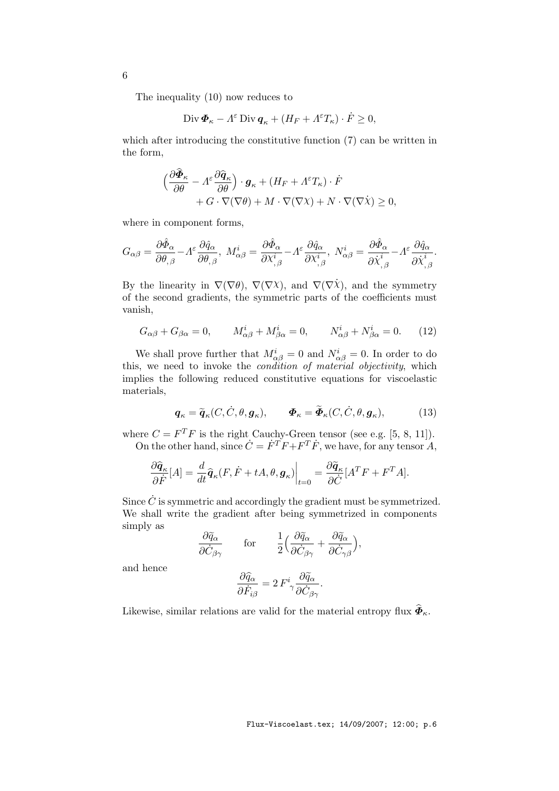The inequality (10) now reduces to

$$
\operatorname{Div}\boldsymbol{\varPhi}_{\kappa}-\varLambda^{\varepsilon}\operatorname{Div}\boldsymbol{q}_{\kappa}+(H_F+\varLambda^{\varepsilon}T_{\kappa})\cdot\dot{F}\geq0,
$$

which after introducing the constitutive function  $(7)$  can be written in the form,

$$
\begin{aligned} \Big(\frac{\partial \widehat{\Phi}_{\kappa}}{\partial \theta} - A^{\varepsilon} \frac{\partial \widehat{\pmb{q}}_{\kappa}}{\partial \theta}\Big) \cdot \pmb{g}_{\kappa} + (H_{F} + A^{\varepsilon} T_{\kappa}) \cdot \dot{F} \\ + G \cdot \nabla (\nabla \theta) + M \cdot \nabla (\nabla \chi) + N \cdot \nabla (\nabla \dot{\chi}) \geq 0, \end{aligned}
$$

where in component forms,

$$
G_{\alpha\beta} = \frac{\partial \hat{\Phi}_{\alpha}}{\partial \theta_{,\beta}} - A^{\varepsilon} \frac{\partial \hat{q}_{\alpha}}{\partial \theta_{,\beta}}, \ M_{\alpha\beta}^{i} = \frac{\partial \hat{\Phi}_{\alpha}}{\partial X_{,\beta}^{i}} - A^{\varepsilon} \frac{\partial \hat{q}_{\alpha}}{\partial X_{,\beta}^{i}}, \ N_{\alpha\beta}^{i} = \frac{\partial \hat{\Phi}_{\alpha}}{\partial \dot{X}_{,\beta}^{i}} - A^{\varepsilon} \frac{\partial \hat{q}_{\alpha}}{\partial \dot{X}_{,\beta}^{i}}.
$$

By the linearity in  $\nabla(\nabla\theta)$ ,  $\nabla(\nabla\chi)$ , and  $\nabla(\nabla\dot{\chi})$ , and the symmetry of the second gradients, the symmetric parts of the coefficients must vanish,

$$
G_{\alpha\beta} + G_{\beta\alpha} = 0, \qquad M^i_{\alpha\beta} + M^i_{\beta\alpha} = 0, \qquad N^i_{\alpha\beta} + N^i_{\beta\alpha} = 0. \tag{12}
$$

We shall prove further that  $M_{\alpha\beta}^i = 0$  and  $N_{\alpha\beta}^i = 0$ . In order to do this, we need to invoke the *condition of material objectivity*, which implies the following reduced constitutive equations for viscoelastic materials,

$$
\boldsymbol{q}_{\kappa} = \widetilde{\boldsymbol{q}}_{\kappa}(C, \dot{C}, \theta, \boldsymbol{g}_{\kappa}), \qquad \boldsymbol{\Phi}_{\kappa} = \widetilde{\boldsymbol{\Phi}}_{\kappa}(C, \dot{C}, \theta, \boldsymbol{g}_{\kappa}), \tag{13}
$$

where  $C = F^T F$  is the right Cauchy-Green tensor (see e.g. [5, 8, 11]). On the other hand, since  $\dot{C} = \dot{F}^T F + F^T \dot{F}$ , we have, for any tensor A,

$$
\frac{\partial \widehat{\mathbf{q}}_{\kappa}}{\partial \dot{F}}[A] = \frac{d}{dt} \widehat{\mathbf{q}}_{\kappa}(F, \dot{F} + tA, \theta, \mathbf{g}_{\kappa}) \bigg|_{t=0} = \frac{\partial \widetilde{\mathbf{q}}_{\kappa}}{\partial \dot{C}}[A^T F + F^T A].
$$

Since  $\dot{C}$  is symmetric and accordingly the gradient must be symmetrized. We shall write the gradient after being symmetrized in components simply as

$$
\frac{\partial \widetilde{q}_{\alpha}}{\partial \dot{C}_{\beta\gamma}} \quad \text{for} \quad \frac{1}{2} \Big( \frac{\partial \widetilde{q}_{\alpha}}{\partial \dot{C}_{\beta\gamma}} + \frac{\partial \widetilde{q}_{\alpha}}{\partial \dot{C}_{\gamma\beta}} \Big),
$$

and hence

$$
\frac{\partial \hat{q}_{\alpha}}{\partial \dot{F}_{i\beta}} = 2 F^{i}_{\gamma} \frac{\partial \tilde{q}_{\alpha}}{\partial \dot{C}_{\beta\gamma}}.
$$

Likewise, similar relations are valid for the material entropy flux  $\widehat{\Phi}_{\kappa}$ .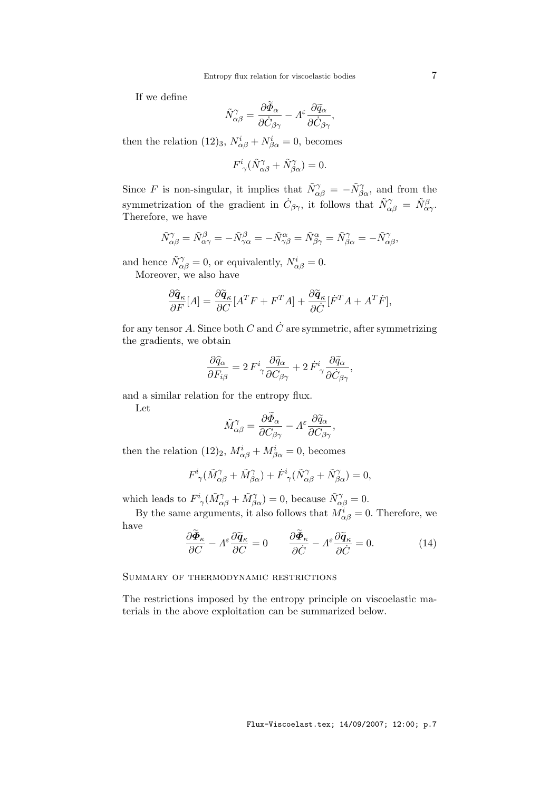If we define

$$
\tilde{N}_{\alpha\beta}^{\gamma} = \frac{\partial \tilde{\Phi}_{\alpha}}{\partial \dot{C}_{\beta\gamma}} - A^{\varepsilon} \frac{\partial \tilde{q}_{\alpha}}{\partial \dot{C}_{\beta\gamma}},
$$

then the relation (12)<sub>3</sub>,  $N_{\alpha\beta}^i + N_{\beta\alpha}^i = 0$ , becomes

$$
F^i_{\gamma}(\tilde{N}_{\alpha\beta}^{\gamma} + \tilde{N}_{\beta\alpha}^{\gamma}) = 0.
$$

Since F is non-singular, it implies that  $\tilde{N}^{\gamma}_{\alpha\beta} = -\tilde{N}^{\gamma}_{\beta\alpha}$ , and from the symmetrization of the gradient in  $\dot{C}_{\beta\gamma}$ , it follows that  $\tilde{N}_{\alpha\beta}^{\gamma} = \tilde{N}_{\alpha\gamma}^{\beta}$ . Therefore, we have

$$
\tilde{N}_{\alpha\beta}^{\gamma} = \tilde{N}_{\alpha\gamma}^{\beta} = -\tilde{N}_{\gamma\alpha}^{\beta} = -\tilde{N}_{\gamma\beta}^{\alpha} = \tilde{N}_{\beta\gamma}^{\alpha} = \tilde{N}_{\beta\alpha}^{\gamma} = -\tilde{N}_{\alpha\beta}^{\gamma},
$$

and hence  $\tilde{N}_{\alpha\beta}^{\gamma} = 0$ , or equivalently,  $N_{\alpha\beta}^{i} = 0$ . Moreover, we also have

$$
\frac{\partial \widehat{\mathbf{q}}_{\kappa}}{\partial F}[A] = \frac{\partial \widetilde{\mathbf{q}}_{\kappa}}{\partial C}[A^T F + F^T A] + \frac{\partial \widetilde{\mathbf{q}}_{\kappa}}{\partial \dot{C}}[\dot{F}^T A + A^T \dot{F}],
$$

for any tensor A. Since both C and  $\dot{C}$  are symmetric, after symmetrizing the gradients, we obtain

$$
\frac{\partial \widehat{q}_{\alpha}}{\partial F_{i\beta}}=2\,{F^{i}}_{\gamma}\frac{\partial \widetilde{q}_{\alpha}}{\partial C_{\beta\gamma}}+2\,{\dot F^{i}}_{\gamma}\frac{\partial \widetilde{q}_{\alpha}}{\partial {\dot C}_{\beta\gamma}},
$$

and a similar relation for the entropy flux.

Let

$$
\tilde{M}_{\alpha\beta}^{\gamma}=\frac{\partial\tilde{\varPhi}_{\alpha}}{\partial C_{\beta\gamma}}- \varLambda^{\varepsilon}\frac{\partial\tilde{q}_{\alpha}}{\partial C_{\beta\gamma}},
$$

then the relation  $(12)_2$ ,  $M_{\alpha\beta}^i + M_{\beta\alpha}^i = 0$ , becomes

$$
F^i_{\gamma}(\tilde{M}_{\alpha\beta}^{\gamma} + \tilde{M}_{\beta\alpha}^{\gamma}) + \dot{F}^i_{\gamma}(\tilde{N}_{\alpha\beta}^{\gamma} + \tilde{N}_{\beta\alpha}^{\gamma}) = 0,
$$

which leads to  $F^i_{\gamma}(\tilde{M}_{\alpha\beta}^{\gamma} + \tilde{M}_{\beta\alpha}^{\gamma}) = 0$ , because  $\tilde{N}_{\alpha\beta}^{\gamma} = 0$ .

By the same arguments, it also follows that  $M_{\alpha\beta}^i = 0$ . Therefore, we have

$$
\frac{\partial \widetilde{\Phi}_{\kappa}}{\partial C} - \Lambda^{\varepsilon} \frac{\partial \widetilde{q}_{\kappa}}{\partial C} = 0 \qquad \frac{\partial \widetilde{\Phi}_{\kappa}}{\partial C} - \Lambda^{\varepsilon} \frac{\partial \widetilde{q}_{\kappa}}{\partial C} = 0. \tag{14}
$$

Summary of thermodynamic restrictions

The restrictions imposed by the entropy principle on viscoelastic materials in the above exploitation can be summarized below.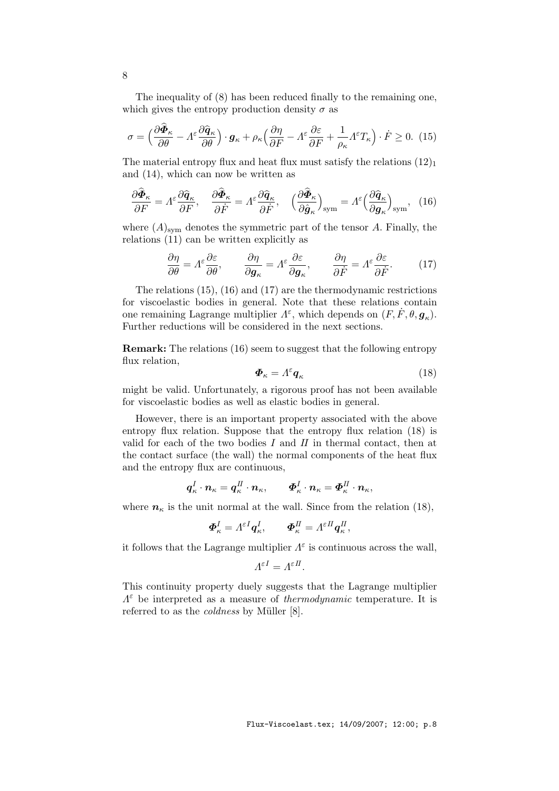The inequality of (8) has been reduced finally to the remaining one, which gives the entropy production density  $\sigma$  as

$$
\sigma = \left(\frac{\partial \widehat{\Phi}_{\kappa}}{\partial \theta} - \Lambda^{\varepsilon} \frac{\partial \widehat{q}_{\kappa}}{\partial \theta}\right) \cdot \boldsymbol{g}_{\kappa} + \rho_{\kappa} \left(\frac{\partial \eta}{\partial F} - \Lambda^{\varepsilon} \frac{\partial \varepsilon}{\partial F} + \frac{1}{\rho_{\kappa}} \Lambda^{\varepsilon} T_{\kappa}\right) \cdot \dot{F} \ge 0. \tag{15}
$$

The material entropy flux and heat flux must satisfy the relations  $(12)<sub>1</sub>$ and (14), which can now be written as

$$
\frac{\partial \widehat{\Phi}_{\kappa}}{\partial F} = \Lambda^{\varepsilon} \frac{\partial \widehat{q}_{\kappa}}{\partial F}, \quad \frac{\partial \widehat{\Phi}_{\kappa}}{\partial \dot{F}} = \Lambda^{\varepsilon} \frac{\partial \widehat{q}_{\kappa}}{\partial \dot{F}}, \quad \left(\frac{\partial \widehat{\Phi}_{\kappa}}{\partial \hat{g}_{\kappa}}\right)_{\text{sym}} = \Lambda^{\varepsilon} \left(\frac{\partial \widehat{q}_{\kappa}}{\partial g_{\kappa}}\right)_{\text{sym}}, \quad (16)
$$

where  $(A)_{sym}$  denotes the symmetric part of the tensor A. Finally, the relations (11) can be written explicitly as

$$
\frac{\partial \eta}{\partial \theta} = A^{\varepsilon} \frac{\partial \varepsilon}{\partial \theta}, \qquad \frac{\partial \eta}{\partial \mathbf{g}_{\kappa}} = A^{\varepsilon} \frac{\partial \varepsilon}{\partial \mathbf{g}_{\kappa}}, \qquad \frac{\partial \eta}{\partial \dot{F}} = A^{\varepsilon} \frac{\partial \varepsilon}{\partial \dot{F}}.
$$
(17)

The relations (15), (16) and (17) are the thermodynamic restrictions for viscoelastic bodies in general. Note that these relations contain one remaining Lagrange multiplier  $\Lambda^{\varepsilon}$ , which depends on  $(F, \dot{F}, \theta, \mathbf{g}_{\kappa})$ . Further reductions will be considered in the next sections.

Remark: The relations (16) seem to suggest that the following entropy flux relation,

$$
\boldsymbol{\Phi}_{\kappa} = \Lambda^{\varepsilon} \boldsymbol{q}_{\kappa} \tag{18}
$$

might be valid. Unfortunately, a rigorous proof has not been available for viscoelastic bodies as well as elastic bodies in general.

However, there is an important property associated with the above entropy flux relation. Suppose that the entropy flux relation (18) is valid for each of the two bodies  $I$  and  $II$  in thermal contact, then at the contact surface (the wall) the normal components of the heat flux and the entropy flux are continuous,

$$
\boldsymbol{q}_{\kappa}^I \cdot \boldsymbol{n}_{\kappa} = \boldsymbol{q}_{\kappa}^H \cdot \boldsymbol{n}_{\kappa}, \qquad \boldsymbol{\varPhi}_{\kappa}^I \cdot \boldsymbol{n}_{\kappa} = \boldsymbol{\varPhi}_{\kappa}^H \cdot \boldsymbol{n}_{\kappa},
$$

where  $n_{\kappa}$  is the unit normal at the wall. Since from the relation (18),

$$
\pmb{\Phi}^I_\kappa = \Lambda^{\varepsilon I} \pmb{q}^I_\kappa, \qquad \pmb{\Phi}^{II}_\kappa = \Lambda^{\varepsilon II} \pmb{q}^I_\kappa,
$$

it follows that the Lagrange multiplier  $\Lambda^{\varepsilon}$  is continuous across the wall,

$$
A^{\varepsilon I} = A^{\varepsilon II}.
$$

This continuity property duely suggests that the Lagrange multiplier  $\Lambda^{\varepsilon}$  be interpreted as a measure of thermodynamic temperature. It is referred to as the *coldness* by Müller  $[8]$ .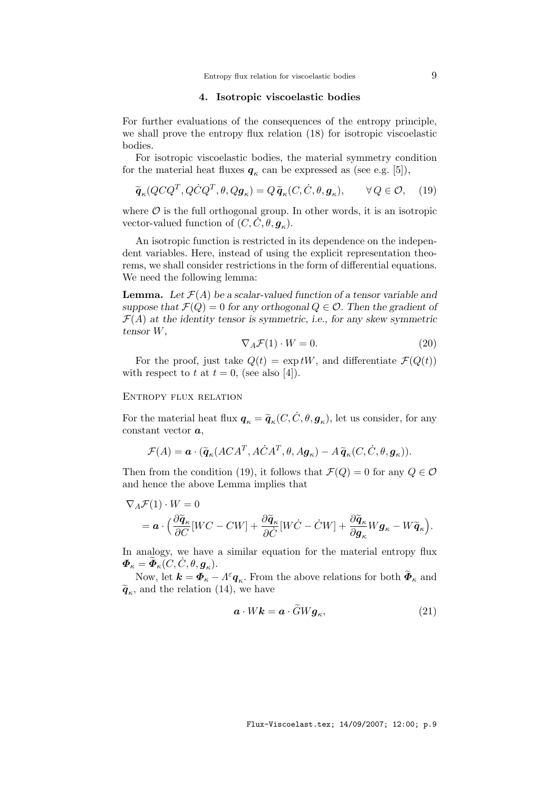Entropy flux relation for viscoelastic bodies 9

## 4. Isotropic viscoelastic bodies

For further evaluations of the consequences of the entropy principle, we shall prove the entropy flux relation (18) for isotropic viscoelastic bodies.

For isotropic viscoelastic bodies, the material symmetry condition for the material heat fluxes  $q_{\kappa}$  can be expressed as (see e.g. [5]),

$$
\widetilde{\mathbf{q}}_{\kappa}(Q C Q^T, Q \dot{C} Q^T, \theta, Q \mathbf{g}_{\kappa}) = Q \widetilde{\mathbf{q}}_{\kappa}(C, \dot{C}, \theta, \mathbf{g}_{\kappa}), \qquad \forall Q \in \mathcal{O}, \quad (19)
$$

where  $\mathcal O$  is the full orthogonal group. In other words, it is an isotropic vector-valued function of  $(C, \check{C}, \theta, \mathbf{g}_{\kappa}).$ 

An isotropic function is restricted in its dependence on the independent variables. Here, instead of using the explicit representation theorems, we shall consider restrictions in the form of differential equations. We need the following lemma:

**Lemma.** Let  $\mathcal{F}(A)$  be a scalar-valued function of a tensor variable and suppose that  $\mathcal{F}(Q) = 0$  for any orthogonal  $Q \in \mathcal{O}$ . Then the gradient of  $\mathcal{F}(A)$  at the identity tensor is symmetric, i.e., for any skew symmetric tensor W,

$$
\nabla_A \mathcal{F}(1) \cdot W = 0. \tag{20}
$$

For the proof, just take  $Q(t) = \exp tW$ , and differentiate  $\mathcal{F}(Q(t))$ with respect to t at  $t = 0$ , (see also [4]).

Entropy flux relation

For the material heat flux  $q_{\kappa} = \tilde{q}_{\kappa}(C, \dot{C}, \theta, g_{\kappa})$ , let us consider, for any constant vector  $a$ ,

$$
\mathcal{F}(A) = \boldsymbol{a} \cdot (\widetilde{\boldsymbol{q}}_{\kappa}(ACA^T, A\dot{C}A^T, \theta, A\boldsymbol{g}_{\kappa}) - A\widetilde{\boldsymbol{q}}_{\kappa}(C, \dot{C}, \theta, \boldsymbol{g}_{\kappa})).
$$

Then from the condition (19), it follows that  $\mathcal{F}(Q) = 0$  for any  $Q \in \mathcal{O}$ and hence the above Lemma implies that

$$
\nabla_A \mathcal{F}(1) \cdot W = 0
$$
  
=  $\mathbf{a} \cdot \left( \frac{\partial \widetilde{\mathbf{q}}_k}{\partial C} [WC - CW] + \frac{\partial \widetilde{\mathbf{q}}_k}{\partial C} [WC - CW] + \frac{\partial \widetilde{\mathbf{q}}_k}{\partial \mathbf{g}_\kappa} W \mathbf{g}_\kappa - W \widetilde{\mathbf{q}}_\kappa \right).$ 

In analogy, we have a similar equation for the material entropy flux  $\boldsymbol \Phi_\kappa = \widetilde{\boldsymbol \Phi}_\kappa (\overline C, \dot C, \theta, \boldsymbol g_\kappa).$ 

Now, let  $\mathbf{k} = \mathbf{\Phi}_{\kappa} - \Lambda^{\varepsilon} \mathbf{q}_{\kappa}$ . From the above relations for both  $\widetilde{\mathbf{\Phi}}_{\kappa}$  and  $\widetilde{\mathbf{q}}_{\kappa}$ , and the relation (14), we have

$$
\mathbf{a} \cdot W \mathbf{k} = \mathbf{a} \cdot \widetilde{G} W \mathbf{g}_{\kappa},\tag{21}
$$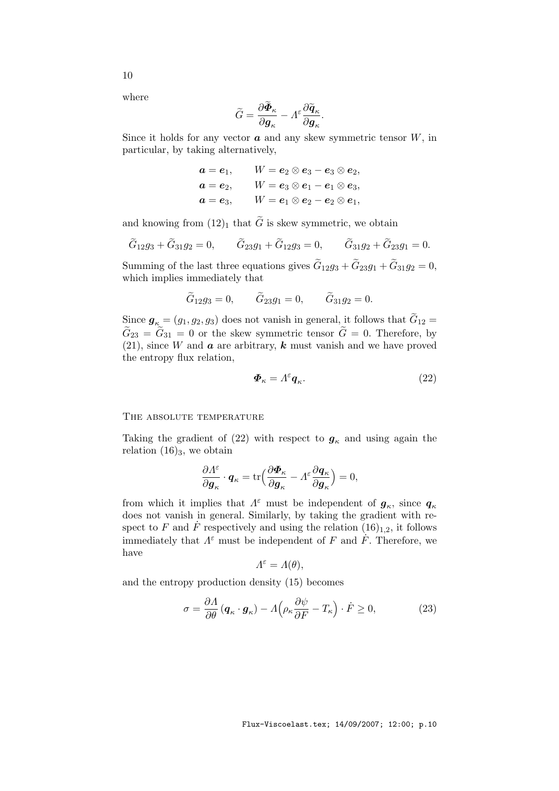where

$$
\tilde{G}=\frac{\partial\tilde{\pmb{\Phi}}_{\kappa}}{\partial\pmb{g}_{\kappa}}-A^{\varepsilon}\frac{\partial\tilde{\pmb{q}}_{\kappa}}{\partial\pmb{g}_{\kappa}}
$$

.

Since it holds for any vector  $\boldsymbol{a}$  and any skew symmetric tensor  $W$ , in particular, by taking alternatively,

$$
a = e_1, \qquad W = e_2 \otimes e_3 - e_3 \otimes e_2,
$$
  
\n
$$
a = e_2, \qquad W = e_3 \otimes e_1 - e_1 \otimes e_3,
$$
  
\n
$$
a = e_3, \qquad W = e_1 \otimes e_2 - e_2 \otimes e_1,
$$

and knowing from  $(12)_1$  that  $\widetilde{G}$  is skew symmetric, we obtain

$$
\tilde{G}_{12}g_3 + \tilde{G}_{31}g_2 = 0,
$$
  $\tilde{G}_{23}g_1 + \tilde{G}_{12}g_3 = 0,$   $\tilde{G}_{31}g_2 + \tilde{G}_{23}g_1 = 0.$ 

Summing of the last three equations gives  $\tilde{G}_{12}g_3 + \tilde{G}_{23}g_1 + \tilde{G}_{31}g_2 = 0$ , which implies immediately that

$$
\tilde{G}_{12}g_3 = 0,
$$
  $\tilde{G}_{23}g_1 = 0,$   $\tilde{G}_{31}g_2 = 0.$ 

Since  $g_{\kappa} = (g_1, g_2, g_3)$  does not vanish in general, it follows that  $\widetilde{G}_{12} =$  $\widetilde{G}_{23} = \widetilde{G}_{31} = 0$  or the skew symmetric tensor  $\widetilde{G} = 0$ . Therefore, by  $(21)$ , since W and  $\boldsymbol{a}$  are arbitrary,  $\boldsymbol{k}$  must vanish and we have proved the entropy flux relation,

$$
\mathbf{\Phi}_{\kappa} = \Lambda^{\varepsilon} \mathbf{q}_{\kappa}.\tag{22}
$$

## THE ABSOLUTE TEMPERATURE

Taking the gradient of (22) with respect to  $g_{\kappa}$  and using again the relation  $(16)_{3}$ , we obtain

$$
\frac{\partial \varLambda^\varepsilon}{\partial \boldsymbol{g}_\kappa}\cdot \boldsymbol{q}_\kappa = \mathrm{tr}\Big(\frac{\partial \boldsymbol{\Phi}_\kappa}{\partial \boldsymbol{g}_\kappa} - \varLambda^\varepsilon \frac{\partial \boldsymbol{q}_\kappa}{\partial \boldsymbol{g}_\kappa}\Big) = 0,
$$

from which it implies that  $\Lambda^{\varepsilon}$  must be independent of  $g_{\kappa}$ , since  $q_{\kappa}$ does not vanish in general. Similarly, by taking the gradient with respect to F and  $\dot{F}$  respectively and using the relation  $(16)_{1,2}$ , it follows immediately that  $\Lambda^{\varepsilon}$  must be independent of F and F. Therefore, we have

$$
\Lambda^{\varepsilon} = \Lambda(\theta),
$$

and the entropy production density (15) becomes

$$
\sigma = \frac{\partial \Lambda}{\partial \theta} \left( \boldsymbol{q}_{\kappa} \cdot \boldsymbol{g}_{\kappa} \right) - \Lambda \left( \rho_{\kappa} \frac{\partial \psi}{\partial F} - T_{\kappa} \right) \cdot \dot{F} \ge 0, \tag{23}
$$

Flux-Viscoelast.tex; 14/09/2007; 12:00; p.10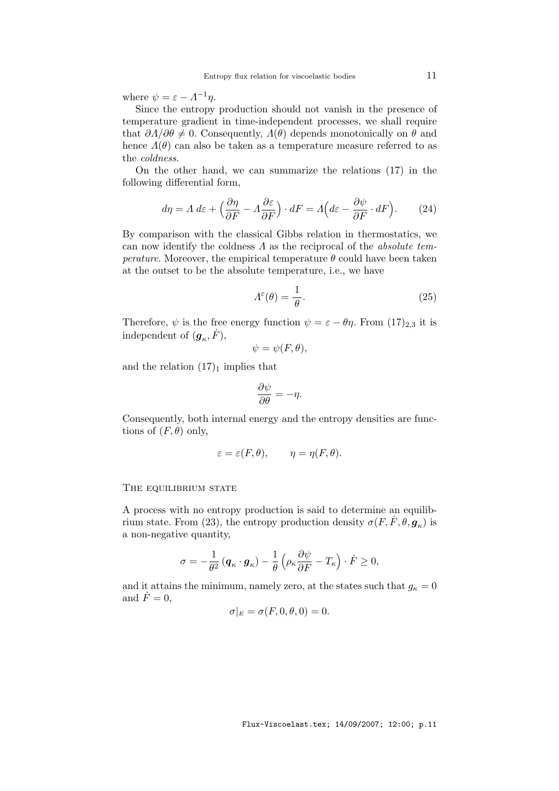where  $\psi = \varepsilon - A^{-1}\eta$ .

Since the entropy production should not vanish in the presence of temperature gradient in time-independent processes, we shall require that  $\partial \Lambda / \partial \theta \neq 0$ . Consequently,  $\Lambda(\theta)$  depends monotonically on  $\theta$  and hence  $\Lambda(\theta)$  can also be taken as a temperature measure referred to as the coldness.

On the other hand, we can summarize the relations (17) in the following differential form,

$$
d\eta = \Lambda \, d\varepsilon + \left(\frac{\partial \eta}{\partial F} - \Lambda \frac{\partial \varepsilon}{\partial F}\right) \cdot dF = \Lambda \Big(d\varepsilon - \frac{\partial \psi}{\partial F} \cdot dF\Big). \tag{24}
$$

By comparison with the classical Gibbs relation in thermostatics, we can now identify the coldness  $\Lambda$  as the reciprocal of the *absolute temperature.* Moreover, the empirical temperature  $\theta$  could have been taken at the outset to be the absolute temperature, i.e., we have

$$
\Lambda^{\varepsilon}(\theta) = \frac{1}{\theta}.\tag{25}
$$

Therefore,  $\psi$  is the free energy function  $\psi = \varepsilon - \theta \eta$ . From  $(17)_{2,3}$  it is independent of  $(\mathbf{g}_{\kappa}, \dot{F}),$ 

$$
\psi = \psi(F, \theta),
$$

and the relation  $(17)<sub>1</sub>$  implies that

$$
\frac{\partial \psi}{\partial \theta} = -\eta.
$$

Consequently, both internal energy and the entropy densities are functions of  $(F, \theta)$  only,

$$
\varepsilon = \varepsilon(F, \theta), \qquad \eta = \eta(F, \theta).
$$

#### THE EQUILIBRIUM STATE

A process with no entropy production is said to determine an equilibrium state. From (23), the entropy production density  $\sigma(F, \dot{F}, \theta, \dot{g}_\kappa)$  is a non-negative quantity,

$$
\sigma = -\frac{1}{\theta^2} \left( \boldsymbol{q}_{\kappa} \cdot \boldsymbol{g}_{\kappa} \right) - \frac{1}{\theta} \left( \rho_{\kappa} \frac{\partial \psi}{\partial F} - T_{\kappa} \right) \cdot \dot{F} \ge 0,
$$

and it attains the minimum, namely zero, at the states such that  $g_{\kappa} = 0$ and  $\dot{F}=0$ ,

$$
\sigma|_E = \sigma(F, 0, \theta, 0) = 0.
$$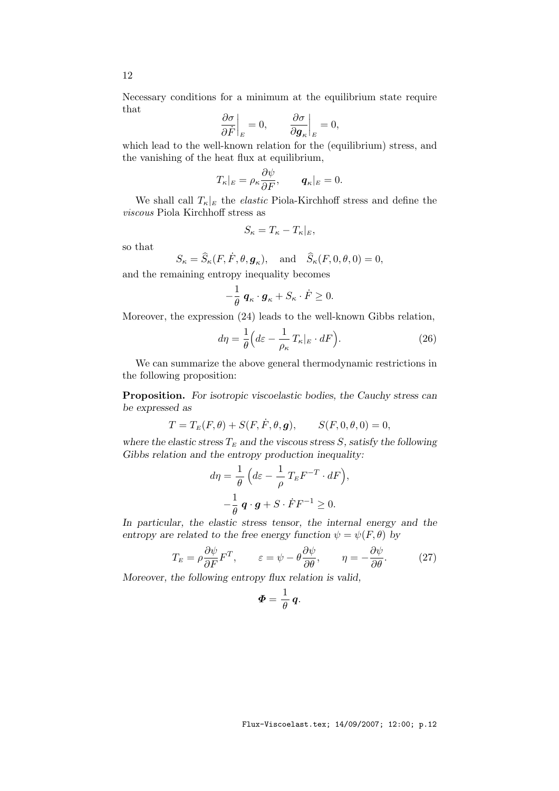Necessary conditions for a minimum at the equilibrium state require that  $\overline{a}$  $\overline{a}$ 

$$
\left. \frac{\partial \sigma}{\partial \dot{F}} \right|_E = 0, \qquad \left. \frac{\partial \sigma}{\partial \bm{g}_\kappa} \right|_E = 0,
$$

which lead to the well-known relation for the (equilibrium) stress, and the vanishing of the heat flux at equilibrium,

$$
T_{\kappa}|_E=\rho_\kappa\frac{\partial\psi}{\partial F},\qquad \textbf{\textit{q}}_{\kappa}|_E=0.
$$

We shall call  $T_{\kappa}|_E$  the *elastic* Piola-Kirchhoff stress and define the viscous Piola Kirchhoff stress as

$$
S_{\kappa} = T_{\kappa} - T_{\kappa}|_E,
$$

so that

 $S_{\kappa} = \widehat{S}_{\kappa}(F, \dot{F}, \theta, \mathbf{g}_{\kappa}), \text{ and } \widehat{S}_{\kappa}(F, 0, \theta, 0) = 0,$ 

and the remaining entropy inequality becomes

$$
-\frac{1}{\theta}\mathbf{q}_{\kappa}\cdot\mathbf{g}_{\kappa}+S_{\kappa}\cdot\dot{F}\geq0.
$$

Moreover, the expression (24) leads to the well-known Gibbs relation,

$$
d\eta = \frac{1}{\theta} \Big( d\varepsilon - \frac{1}{\rho_{\kappa}} T_{\kappa}|_{E} \cdot dF \Big). \tag{26}
$$

We can summarize the above general thermodynamic restrictions in the following proposition:

Proposition. For isotropic viscoelastic bodies, the Cauchy stress can be expressed as

$$
T = T_E(F, \theta) + S(F, \dot{F}, \theta, \mathbf{g}), \qquad S(F, 0, \theta, 0) = 0,
$$

where the elastic stress  $T_E$  and the viscous stress  $S$ , satisfy the following Gibbs relation and the entropy production inequality:

$$
d\eta = \frac{1}{\theta} \left( d\varepsilon - \frac{1}{\rho} T_E F^{-T} \cdot dF \right),
$$
  

$$
-\frac{1}{\theta} \mathbf{q} \cdot \mathbf{g} + S \cdot \dot{F} F^{-1} \ge 0.
$$

In particular, the elastic stress tensor, the internal energy and the entropy are related to the free energy function  $\psi = \psi(F, \theta)$  by

$$
T_E = \rho \frac{\partial \psi}{\partial F} F^T, \qquad \varepsilon = \psi - \theta \frac{\partial \psi}{\partial \theta}, \qquad \eta = -\frac{\partial \psi}{\partial \theta}.
$$
 (27)

Moreover, the following entropy flux relation is valid,

$$
\boldsymbol{\varPhi}=\frac{1}{\theta}\,\boldsymbol{q}.
$$